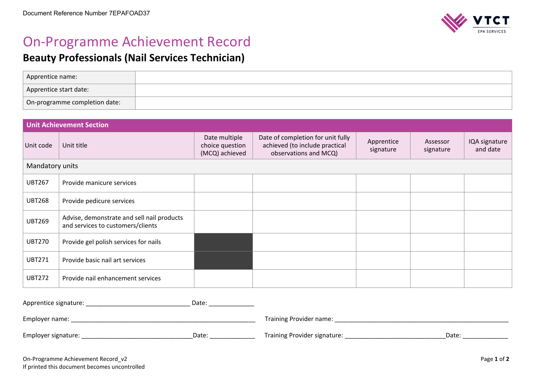

## On-Programme Achievement Record

## **Beauty Professionals (Nail Services Technician)**

| Apprentice name:              |  |
|-------------------------------|--|
| Apprentice start date:        |  |
| On-programme completion date: |  |

| <b>Unit Achievement Section</b> |                                                                                 |                                                    |                                                                                              |                         |                       |                           |  |  |
|---------------------------------|---------------------------------------------------------------------------------|----------------------------------------------------|----------------------------------------------------------------------------------------------|-------------------------|-----------------------|---------------------------|--|--|
| Unit code                       | Unit title                                                                      | Date multiple<br>choice question<br>(MCQ) achieved | Date of completion for unit fully<br>achieved (to include practical<br>observations and MCQ) | Apprentice<br>signature | Assessor<br>signature | IQA signature<br>and date |  |  |
| Mandatory units                 |                                                                                 |                                                    |                                                                                              |                         |                       |                           |  |  |
| <b>UBT267</b>                   | Provide manicure services                                                       |                                                    |                                                                                              |                         |                       |                           |  |  |
| <b>UBT268</b>                   | Provide pedicure services                                                       |                                                    |                                                                                              |                         |                       |                           |  |  |
| <b>UBT269</b>                   | Advise, demonstrate and sell nail products<br>and services to customers/clients |                                                    |                                                                                              |                         |                       |                           |  |  |
| <b>UBT270</b>                   | Provide gel polish services for nails                                           |                                                    |                                                                                              |                         |                       |                           |  |  |
| <b>UBT271</b>                   | Provide basic nail art services                                                 |                                                    |                                                                                              |                         |                       |                           |  |  |
| <b>UBT272</b>                   | Provide nail enhancement services                                               |                                                    |                                                                                              |                         |                       |                           |  |  |
| Date:<br>Apprentice signature:  |                                                                                 |                                                    |                                                                                              |                         |                       |                           |  |  |

| Employer name:      |       | Training Provider name:      |       |
|---------------------|-------|------------------------------|-------|
| Employer signature: | Date: | Training Provider signature: | Date: |